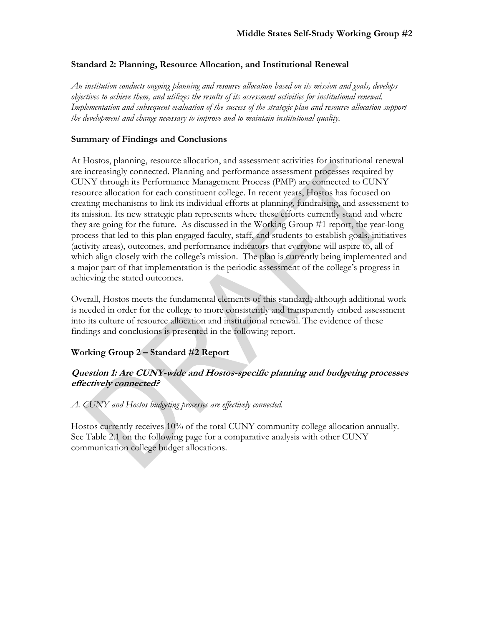#### **Standard 2: Planning, Resource Allocation, and Institutional Renewal**

*An institution conducts ongoing planning and resource allocation based on its mission and goals, develops objectives to achieve them, and utilizes the results of its assessment activities for institutional renewal. Implementation and subsequent evaluation of the success of the strategic plan and resource allocation support the development and change necessary to improve and to maintain institutional quality.* 

#### **Summary of Findings and Conclusions**

At Hostos, planning, resource allocation, and assessment activities for institutional renewal are increasingly connected. Planning and performance assessment processes required by CUNY through its Performance Management Process (PMP) are connected to CUNY resource allocation for each constituent college. In recent years, Hostos has focused on creating mechanisms to link its individual efforts at planning, fundraising, and assessment to its mission. Its new strategic plan represents where these efforts currently stand and where they are going for the future. As discussed in the Working Group #1 report, the year-long process that led to this plan engaged faculty, staff, and students to establish goals, initiatives (activity areas), outcomes, and performance indicators that everyone will aspire to, all of which align closely with the college's mission. The plan is currently being implemented and a major part of that implementation is the periodic assessment of the college's progress in achieving the stated outcomes.

Overall, Hostos meets the fundamental elements of this standard, although additional work is needed in order for the college to more consistently and transparently embed assessment into its culture of resource allocation and institutional renewal. The evidence of these findings and conclusions is presented in the following report.

# **Working Group 2 – Standard #2 Report**

# **Question 1: Are CUNY-wide and Hostos-specific planning and budgeting processes effectively connected?**

#### *A. CUNY and Hostos budgeting processes are effectively connected.*

Hostos currently receives 10% of the total CUNY community college allocation annually. See Table 2.1 on the following page for a comparative analysis with other CUNY communication college budget allocations.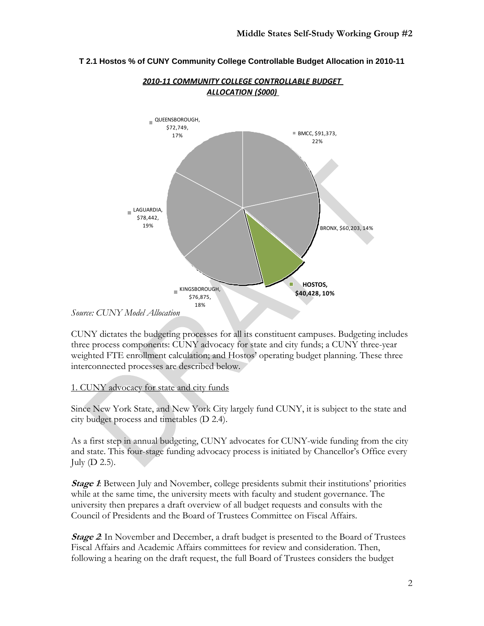

# **T 2.1 Hostos % of CUNY Community College Controllable Budget Allocation in 2010-11**

*2010‐11 COMMUNITY COLLEGE CONTROLLABLE BUDGET ALLOCATION (\$000)*

CUNY dictates the budgeting processes for all its constituent campuses. Budgeting includes three process components: CUNY advocacy for state and city funds; a CUNY three-year weighted FTE enrollment calculation; and Hostos' operating budget planning. These three interconnected processes are described below.

# 1. CUNY advocacy for state and city funds

Since New York State, and New York City largely fund CUNY, it is subject to the state and city budget process and timetables (D 2.4).

As a first step in annual budgeting, CUNY advocates for CUNY-wide funding from the city and state. This four-stage funding advocacy process is initiated by Chancellor's Office every July (D 2.5).

*Stage 1*: Between July and November, college presidents submit their institutions' priorities while at the same time, the university meets with faculty and student governance. The university then prepares a draft overview of all budget requests and consults with the Council of Presidents and the Board of Trustees Committee on Fiscal Affairs.

**Stage 2**: In November and December, a draft budget is presented to the Board of Trustees Fiscal Affairs and Academic Affairs committees for review and consideration. Then, following a hearing on the draft request, the full Board of Trustees considers the budget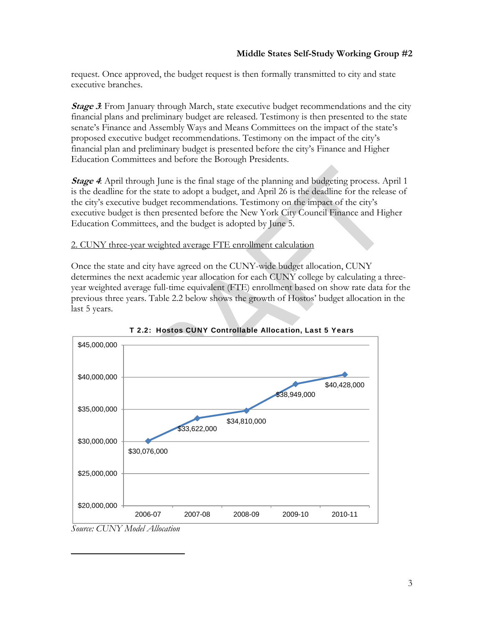request. Once approved, the budget request is then formally transmitted to city and state executive branches.

**Stage 3:** From January through March, state executive budget recommendations and the city financial plans and preliminary budget are released. Testimony is then presented to the state senate's Finance and Assembly Ways and Means Committees on the impact of the state's proposed executive budget recommendations. Testimony on the impact of the city's financial plan and preliminary budget is presented before the city's Finance and Higher Education Committees and before the Borough Presidents.

**Stage 4**: April through June is the final stage of the planning and budgeting process. April 1 is the deadline for the state to adopt a budget, and April 26 is the deadline for the release of the city's executive budget recommendations. Testimony on the impact of the city's executive budget is then presented before the New York City Council Finance and Higher Education Committees, and the budget is adopted by June 5.

# 2. CUNY three-year weighted average FTE enrollment calculation

Once the state and city have agreed on the CUNY-wide budget allocation, CUNY determines the next academic year allocation for each CUNY college by calculating a threeyear weighted average full-time equivalent (FTE) enrollment based on show rate data for the previous three years. Table 2.2 below shows the growth of Hostos' budget allocation in the last 5 years.



T 2.2: Hostos CUNY Controllable Allocation, Last 5 Years

*Source: CUNY Model Allocation*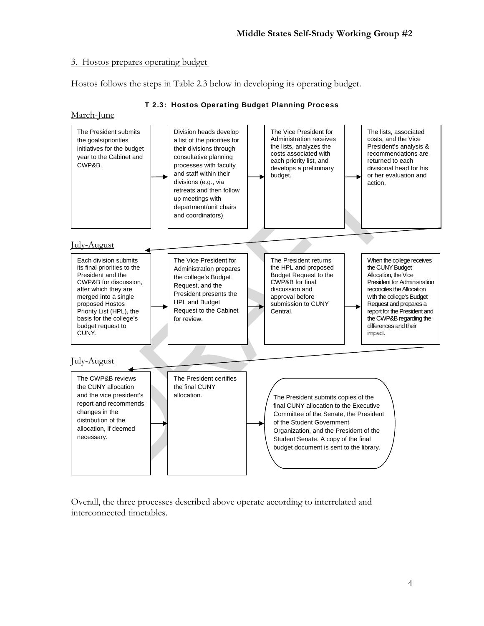#### 3. Hostos prepares operating budget

Hostos follows the steps in Table 2.3 below in developing its operating budget.



#### T 2.3: Hostos Operating Budget Planning Process

Overall, the three processes described above operate according to interrelated and interconnected timetables.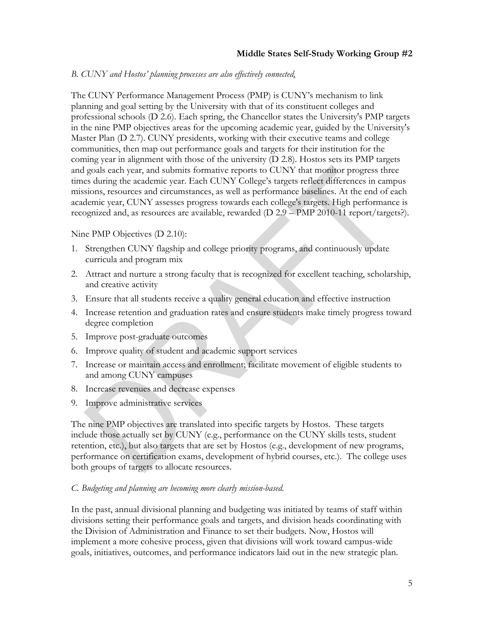#### *B. CUNY and Hostos' planning processes are also effectively connected*.

The CUNY Performance Management Process (PMP) is CUNY's mechanism to link planning and goal setting by the University with that of its constituent colleges and professional schools (D 2.6). Each spring, the Chancellor states the University's PMP targets in the nine PMP objectives areas for the upcoming academic year, guided by the University's Master Plan (D 2.7). CUNY presidents, working with their executive teams and college communities, then map out performance goals and targets for their institution for the coming year in alignment with those of the university (D 2.8). Hostos sets its PMP targets and goals each year, and submits formative reports to CUNY that monitor progress three times during the academic year. Each CUNY College's targets reflect differences in campus missions, resources and circumstances, as well as performance baselines. At the end of each academic year, CUNY assesses progress towards each college's targets. High performance is recognized and, as resources are available, rewarded (D 2.9 – PMP 2010-11 report/targets?).

#### Nine PMP Objectives (D 2.10):

- 1. Strengthen CUNY flagship and college priority programs, and continuously update curricula and program mix
- 2. Attract and nurture a strong faculty that is recognized for excellent teaching, scholarship, and creative activity
- 3. Ensure that all students receive a quality general education and effective instruction
- 4. Increase retention and graduation rates and ensure students make timely progress toward degree completion
- 5. Improve post-graduate outcomes
- 6. Improve quality of student and academic support services
- 7. Increase or maintain access and enrollment; facilitate movement of eligible students to and among CUNY campuses
- 8. Increase revenues and decrease expenses
- 9. Improve administrative services

The nine PMP objectives are translated into specific targets by Hostos. These targets include those actually set by CUNY (e.g., performance on the CUNY skills tests, student retention, etc.), but also targets that are set by Hostos (e.g., development of new programs, performance on certification exams, development of hybrid courses, etc.). The college uses both groups of targets to allocate resources.

#### *C. Budgeting and planning are becoming more clearly mission-based.*

In the past, annual divisional planning and budgeting was initiated by teams of staff within divisions setting their performance goals and targets, and division heads coordinating with the Division of Administration and Finance to set their budgets. Now, Hostos will implement a more cohesive process, given that divisions will work toward campus-wide goals, initiatives, outcomes, and performance indicators laid out in the new strategic plan.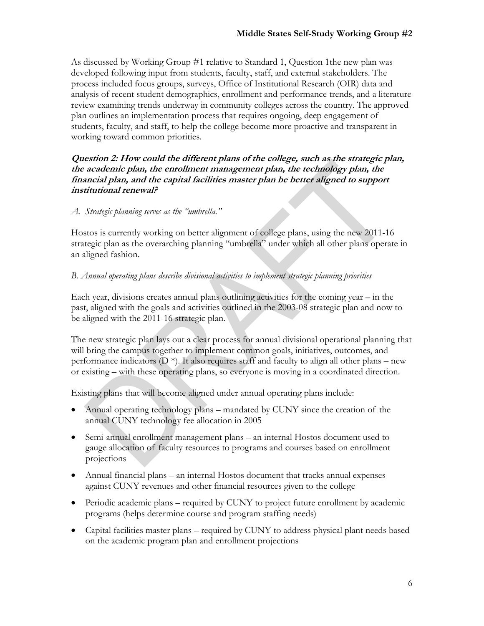As discussed by Working Group #1 relative to Standard 1, Question 1the new plan was developed following input from students, faculty, staff, and external stakeholders. The process included focus groups, surveys, Office of Institutional Research (OIR) data and analysis of recent student demographics, enrollment and performance trends, and a literature review examining trends underway in community colleges across the country. The approved plan outlines an implementation process that requires ongoing, deep engagement of students, faculty, and staff, to help the college become more proactive and transparent in working toward common priorities.

# **Question 2: How could the different plans of the college, such as the strategic plan, the academic plan, the enrollment management plan, the technology plan, the financial plan, and the capital facilities master plan be better aligned to support institutional renewal?**

#### *A. Strategic planning serves as the "umbrella."*

Hostos is currently working on better alignment of college plans, using the new 2011-16 strategic plan as the overarching planning "umbrella" under which all other plans operate in an aligned fashion.

#### *B. Annual operating plans describe divisional activities to implement strategic planning priorities*

Each year, divisions creates annual plans outlining activities for the coming year – in the past, aligned with the goals and activities outlined in the 2003-08 strategic plan and now to be aligned with the 2011-16 strategic plan.

The new strategic plan lays out a clear process for annual divisional operational planning that will bring the campus together to implement common goals, initiatives, outcomes, and performance indicators  $(D^*)$ . It also requires staff and faculty to align all other plans – new or existing – with these operating plans, so everyone is moving in a coordinated direction.

Existing plans that will become aligned under annual operating plans include:

- Annual operating technology plans mandated by CUNY since the creation of the annual CUNY technology fee allocation in 2005
- Semi-annual enrollment management plans an internal Hostos document used to gauge allocation of faculty resources to programs and courses based on enrollment projections
- Annual financial plans an internal Hostos document that tracks annual expenses against CUNY revenues and other financial resources given to the college
- Periodic academic plans required by CUNY to project future enrollment by academic programs (helps determine course and program staffing needs)
- Capital facilities master plans required by CUNY to address physical plant needs based on the academic program plan and enrollment projections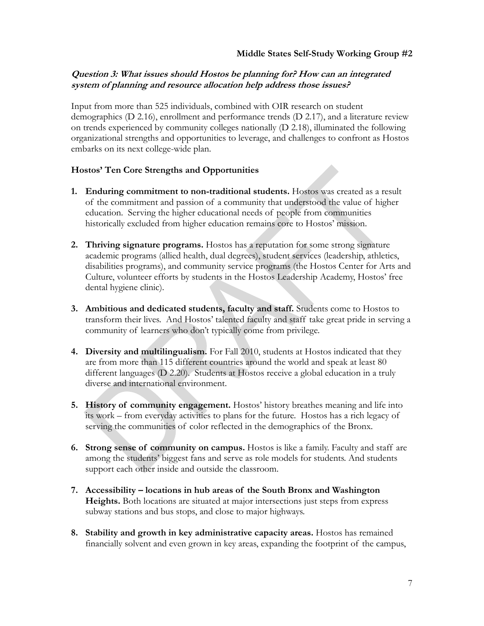# **Question 3: What issues should Hostos be planning for? How can an integrated system of planning and resource allocation help address those issues?**

Input from more than 525 individuals, combined with OIR research on student demographics (D 2.16), enrollment and performance trends (D 2.17), and a literature review on trends experienced by community colleges nationally (D 2.18), illuminated the following organizational strengths and opportunities to leverage, and challenges to confront as Hostos embarks on its next college-wide plan.

#### **Hostos' Ten Core Strengths and Opportunities**

- **1. Enduring commitment to non-traditional students.** Hostos was created as a result of the commitment and passion of a community that understood the value of higher education. Serving the higher educational needs of people from communities historically excluded from higher education remains core to Hostos' mission.
- **2. Thriving signature programs.** Hostos has a reputation for some strong signature academic programs (allied health, dual degrees), student services (leadership, athletics, disabilities programs), and community service programs (the Hostos Center for Arts and Culture, volunteer efforts by students in the Hostos Leadership Academy, Hostos' free dental hygiene clinic).
- **3. Ambitious and dedicated students, faculty and staff.** Students come to Hostos to transform their lives. And Hostos' talented faculty and staff take great pride in serving a community of learners who don't typically come from privilege.
- **4. Diversity and multilingualism.** For Fall 2010, students at Hostos indicated that they are from more than 115 different countries around the world and speak at least 80 different languages (D 2.20). Students at Hostos receive a global education in a truly diverse and international environment.
- **5. History of community engagement.** Hostos' history breathes meaning and life into its work – from everyday activities to plans for the future. Hostos has a rich legacy of serving the communities of color reflected in the demographics of the Bronx.
- **6. Strong sense of community on campus.** Hostos is like a family. Faculty and staff are among the students' biggest fans and serve as role models for students. And students support each other inside and outside the classroom.
- **7. Accessibility locations in hub areas of the South Bronx and Washington Heights.** Both locations are situated at major intersections just steps from express subway stations and bus stops, and close to major highways.
- **8. Stability and growth in key administrative capacity areas.** Hostos has remained financially solvent and even grown in key areas, expanding the footprint of the campus,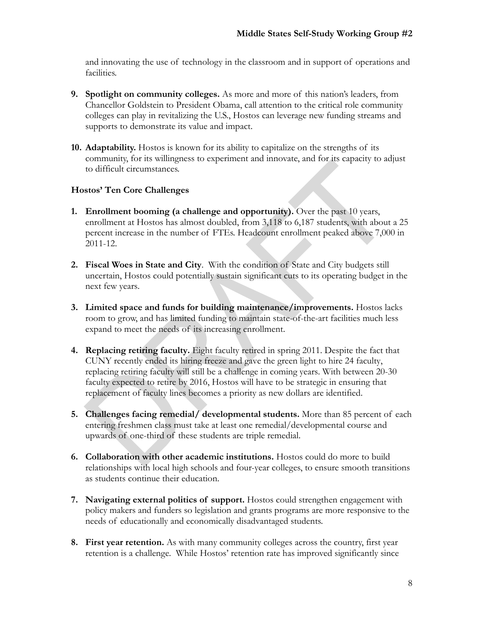and innovating the use of technology in the classroom and in support of operations and facilities.

- **9. Spotlight on community colleges.** As more and more of this nation's leaders, from Chancellor Goldstein to President Obama, call attention to the critical role community colleges can play in revitalizing the U.S., Hostos can leverage new funding streams and supports to demonstrate its value and impact.
- **10. Adaptability.** Hostos is known for its ability to capitalize on the strengths of its community, for its willingness to experiment and innovate, and for its capacity to adjust to difficult circumstances.

# **Hostos' Ten Core Challenges**

- **1. Enrollment booming (a challenge and opportunity).** Over the past 10 years, enrollment at Hostos has almost doubled, from 3,118 to 6,187 students, with about a 25 percent increase in the number of FTEs. Headcount enrollment peaked above 7,000 in 2011-12.
- **2. Fiscal Woes in State and City**. With the condition of State and City budgets still uncertain, Hostos could potentially sustain significant cuts to its operating budget in the next few years.
- **3. Limited space and funds for building maintenance/improvements.** Hostos lacks room to grow, and has limited funding to maintain state-of-the-art facilities much less expand to meet the needs of its increasing enrollment.
- **4. Replacing retiring faculty.** Eight faculty retired in spring 2011. Despite the fact that CUNY recently ended its hiring freeze and gave the green light to hire 24 faculty, replacing retiring faculty will still be a challenge in coming years. With between 20-30 faculty expected to retire by 2016, Hostos will have to be strategic in ensuring that replacement of faculty lines becomes a priority as new dollars are identified.
- **5. Challenges facing remedial/ developmental students.** More than 85 percent of each entering freshmen class must take at least one remedial/developmental course and upwards of one-third of these students are triple remedial.
- **6. Collaboration with other academic institutions.** Hostos could do more to build relationships with local high schools and four-year colleges, to ensure smooth transitions as students continue their education.
- **7. Navigating external politics of support.** Hostos could strengthen engagement with policy makers and funders so legislation and grants programs are more responsive to the needs of educationally and economically disadvantaged students.
- **8. First year retention.** As with many community colleges across the country, first year retention is a challenge. While Hostos' retention rate has improved significantly since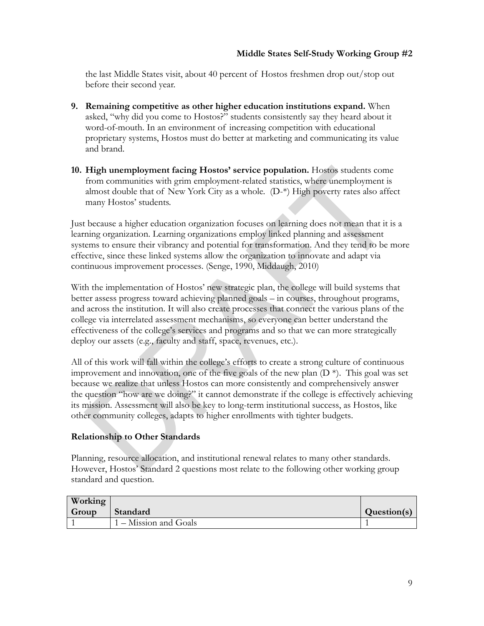the last Middle States visit, about 40 percent of Hostos freshmen drop out/stop out before their second year.

- **9. Remaining competitive as other higher education institutions expand.** When asked, "why did you come to Hostos?" students consistently say they heard about it word-of-mouth. In an environment of increasing competition with educational proprietary systems, Hostos must do better at marketing and communicating its value and brand.
- **10. High unemployment facing Hostos' service population.** Hostos students come from communities with grim employment-related statistics, where unemployment is almost double that of New York City as a whole. (D-\*) High poverty rates also affect many Hostos' students.

Just because a higher education organization focuses on learning does not mean that it is a learning organization. Learning organizations employ linked planning and assessment systems to ensure their vibrancy and potential for transformation. And they tend to be more effective, since these linked systems allow the organization to innovate and adapt via continuous improvement processes. (Senge, 1990, Middaugh, 2010)

With the implementation of Hostos' new strategic plan, the college will build systems that better assess progress toward achieving planned goals – in courses, throughout programs, and across the institution. It will also create processes that connect the various plans of the college via interrelated assessment mechanisms, so everyone can better understand the effectiveness of the college's services and programs and so that we can more strategically deploy our assets (e.g., faculty and staff, space, revenues, etc.).

All of this work will fall within the college's efforts to create a strong culture of continuous improvement and innovation, one of the five goals of the new plan  $(D^*)$ . This goal was set because we realize that unless Hostos can more consistently and comprehensively answer the question "how are we doing?" it cannot demonstrate if the college is effectively achieving its mission. Assessment will also be key to long-term institutional success, as Hostos, like other community colleges, adapts to higher enrollments with tighter budgets.

# **Relationship to Other Standards**

Planning, resource allocation, and institutional renewal relates to many other standards. However, Hostos' Standard 2 questions most relate to the following other working group standard and question.

| Working |                       |             |
|---------|-----------------------|-------------|
| Group   | Standard              | Question(s) |
|         | 1 – Mission and Goals |             |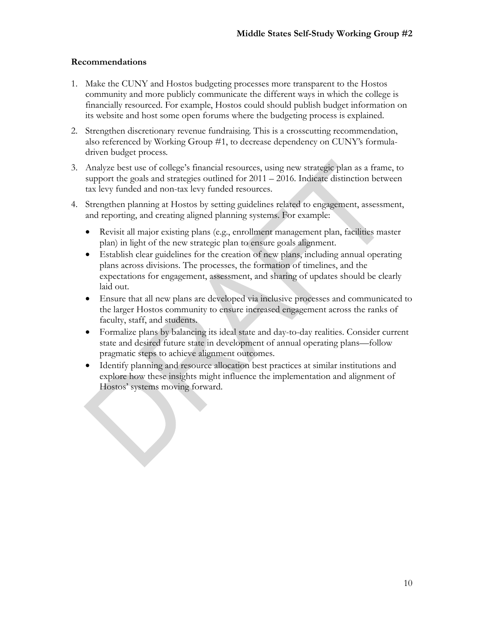#### **Recommendations**

- 1. Make the CUNY and Hostos budgeting processes more transparent to the Hostos community and more publicly communicate the different ways in which the college is financially resourced. For example, Hostos could should publish budget information on its website and host some open forums where the budgeting process is explained.
- 2. Strengthen discretionary revenue fundraising. This is a crosscutting recommendation, also referenced by Working Group #1, to decrease dependency on CUNY's formuladriven budget process.
- 3. Analyze best use of college's financial resources, using new strategic plan as a frame, to support the goals and strategies outlined for 2011 – 2016. Indicate distinction between tax levy funded and non-tax levy funded resources.
- 4. Strengthen planning at Hostos by setting guidelines related to engagement, assessment, and reporting, and creating aligned planning systems. For example:
	- Revisit all major existing plans (e.g., enrollment management plan, facilities master plan) in light of the new strategic plan to ensure goals alignment.
	- Establish clear guidelines for the creation of new plans, including annual operating plans across divisions. The processes, the formation of timelines, and the expectations for engagement, assessment, and sharing of updates should be clearly laid out.
	- Ensure that all new plans are developed via inclusive processes and communicated to the larger Hostos community to ensure increased engagement across the ranks of faculty, staff, and students.
	- Formalize plans by balancing its ideal state and day-to-day realities. Consider current state and desired future state in development of annual operating plans—follow pragmatic steps to achieve alignment outcomes.
	- Identify planning and resource allocation best practices at similar institutions and explore how these insights might influence the implementation and alignment of Hostos' systems moving forward.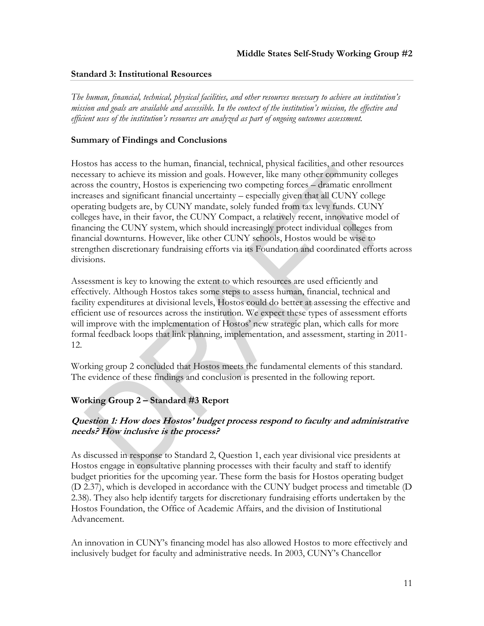#### **Standard 3: Institutional Resources**

*The human, financial, technical, physical facilities, and other resources necessary to achieve an institution's mission and goals are available and accessible. In the context of the institution's mission, the effective and efficient uses of the institution's resources are analyzed as part of ongoing outcomes assessment.* 

#### **Summary of Findings and Conclusions**

Hostos has access to the human, financial, technical, physical facilities, and other resources necessary to achieve its mission and goals. However, like many other community colleges across the country, Hostos is experiencing two competing forces – dramatic enrollment increases and significant financial uncertainty – especially given that all CUNY college operating budgets are, by CUNY mandate, solely funded from tax levy funds. CUNY colleges have, in their favor, the CUNY Compact, a relatively recent, innovative model of financing the CUNY system, which should increasingly protect individual colleges from financial downturns. However, like other CUNY schools, Hostos would be wise to strengthen discretionary fundraising efforts via its Foundation and coordinated efforts across divisions.

Assessment is key to knowing the extent to which resources are used efficiently and effectively. Although Hostos takes some steps to assess human, financial, technical and facility expenditures at divisional levels, Hostos could do better at assessing the effective and efficient use of resources across the institution. We expect these types of assessment efforts will improve with the implementation of Hostos' new strategic plan, which calls for more formal feedback loops that link planning, implementation, and assessment, starting in 2011- 12.

Working group 2 concluded that Hostos meets the fundamental elements of this standard. The evidence of these findings and conclusion is presented in the following report.

# **Working Group 2 – Standard #3 Report**

# **Question 1: How does Hostos' budget process respond to faculty and administrative needs? How inclusive is the process?**

As discussed in response to Standard 2, Question 1, each year divisional vice presidents at Hostos engage in consultative planning processes with their faculty and staff to identify budget priorities for the upcoming year. These form the basis for Hostos operating budget (D 2.37), which is developed in accordance with the CUNY budget process and timetable (D 2.38). They also help identify targets for discretionary fundraising efforts undertaken by the Hostos Foundation, the Office of Academic Affairs, and the division of Institutional Advancement.

An innovation in CUNY's financing model has also allowed Hostos to more effectively and inclusively budget for faculty and administrative needs. In 2003, CUNY's Chancellor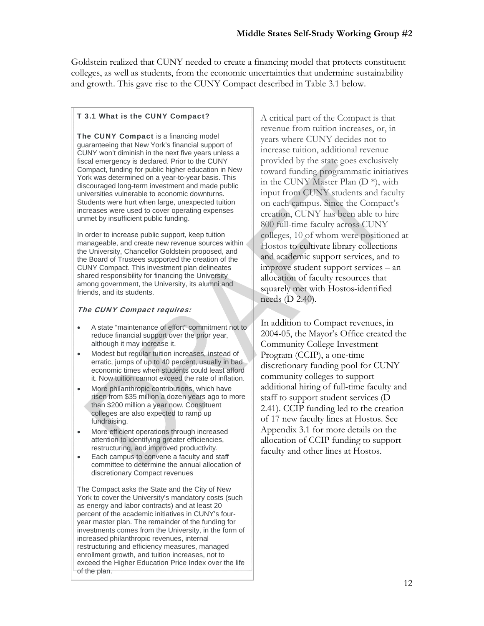Goldstein realized that CUNY needed to create a financing model that protects constituent colleges, as well as students, from the economic uncertainties that undermine sustainability and growth. This gave rise to the CUNY Compact described in Table 3.1 below.

#### T 3.1 What is the CUNY Compact?

The CUNY Compact is a financing model guaranteeing that New York's financial support of CUNY won't diminish in the next five years unless a fiscal emergency is declared. Prior to the CUNY Compact, funding for public higher education in New York was determined on a year-to-year basis. This discouraged long-term investment and made public universities vulnerable to economic downturns. Students were hurt when large, unexpected tuition increases were used to cover operating expenses unmet by insufficient public funding.

In order to increase public support, keep tuition manageable, and create new revenue sources within the University, Chancellor Goldstein proposed, and the Board of Trustees supported the creation of the CUNY Compact. This investment plan delineates shared responsibility for financing the University among government, the University, its alumni and friends, and its students.

#### The CUNY Compact requires:

- A state "maintenance of effort" commitment not to reduce financial support over the prior year, although it may increase it.
- Modest but regular tuition increases, instead of erratic, jumps of up to 40 percent, usually in bad economic times when students could least afford it. Now tuition cannot exceed the rate of inflation.
- More philanthropic contributions, which have risen from \$35 million a dozen years ago to more than \$200 million a year now. Constituent colleges are also expected to ramp up fundraising.
- More efficient operations through increased attention to identifying greater efficiencies, restructuring, and improved productivity.
- Each campus to convene a faculty and staff committee to determine the annual allocation of discretionary Compact revenues

The Compact asks the State and the City of New York to cover the University's mandatory costs (such as energy and labor contracts) and at least 20 percent of the academic initiatives in CUNY's fouryear master plan. The remainder of the funding for investments comes from the University, in the form of increased philanthropic revenues, internal restructuring and efficiency measures, managed enrollment growth, and tuition increases, not to exceed the Higher Education Price Index over the life of the plan.

A critical part of the Compact is that revenue from tuition increases, or, in years where CUNY decides not to increase tuition, additional revenue provided by the state goes exclusively toward funding programmatic initiatives in the CUNY Master Plan (D \*), with input from CUNY students and faculty on each campus. Since the Compact's creation, CUNY has been able to hire 800 full-time faculty across CUNY colleges, 10 of whom were positioned at Hostos to cultivate library collections and academic support services, and to improve student support services – an allocation of faculty resources that squarely met with Hostos-identified needs (D 2.40).

In addition to Compact revenues, in 2004-05, the Mayor's Office created the Community College Investment Program (CCIP), a one-time discretionary funding pool for CUNY community colleges to support additional hiring of full-time faculty and staff to support student services (D 2.41). CCIP funding led to the creation of 17 new faculty lines at Hostos. See Appendix 3.1 for more details on the allocation of CCIP funding to support faculty and other lines at Hostos.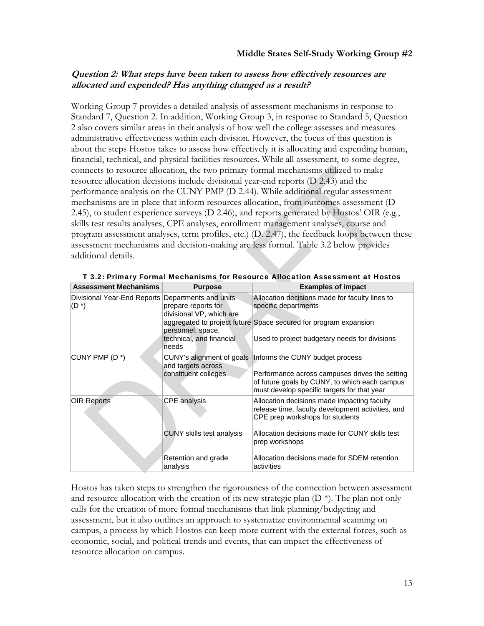# **Question 2: What steps have been taken to assess how effectively resources are allocated and expended? Has anything changed as a result?**

Working Group 7 provides a detailed analysis of assessment mechanisms in response to Standard 7, Question 2. In addition, Working Group 3, in response to Standard 5, Question 2 also covers similar areas in their analysis of how well the college assesses and measures administrative effectiveness within each division. However, the focus of this question is about the steps Hostos takes to assess how effectively it is allocating and expending human, financial, technical, and physical facilities resources. While all assessment, to some degree, connects to resource allocation, the two primary formal mechanisms utilized to make resource allocation decisions include divisional year-end reports (D 2.43) and the performance analysis on the CUNY PMP (D 2.44). While additional regular assessment mechanisms are in place that inform resources allocation, from outcomes assessment (D 2.45), to student experience surveys (D 2.46), and reports generated by Hostos' OIR (e.g., skills test results analyses, CPE analyses, enrollment management analyses, course and program assessment analyses, term profiles, etc.) (D. 2.47), the feedback loops between these assessment mechanisms and decision-making are less formal. Table 3.2 below provides additional details.

| <b>Assessment Mechanisms</b>           | <b>Purpose</b>                                                           | <b>Examples of impact</b>                                                                                                                      |
|----------------------------------------|--------------------------------------------------------------------------|------------------------------------------------------------------------------------------------------------------------------------------------|
| Divisional Year-End Reports<br>$(D^*)$ | Departments and units<br>prepare reports for<br>divisional VP, which are | Allocation decisions made for faculty lines to<br>specific departments                                                                         |
|                                        | personnel, space,                                                        | aggregated to project future Space secured for program expansion                                                                               |
|                                        | technical, and financial<br>needs                                        | Used to project budgetary needs for divisions                                                                                                  |
| CUNY PMP (D*)                          | and targets across                                                       | CUNY's alignment of goals   Informs the CUNY budget process                                                                                    |
|                                        | constituent colleges                                                     | Performance across campuses drives the setting<br>of future goals by CUNY, to which each campus<br>must develop specific targets for that year |
| <b>OIR Reports</b>                     | <b>CPE</b> analysis                                                      | Allocation decisions made impacting faculty<br>release time, faculty development activities, and<br>CPE prep workshops for students            |
|                                        | <b>CUNY</b> skills test analysis                                         | Allocation decisions made for CUNY skills test<br>prep workshops                                                                               |
|                                        | Retention and grade<br>analysis                                          | Allocation decisions made for SDEM retention<br>activities                                                                                     |

T 3.2: Primary Formal Mechanisms for Resource Allocation Assessment at Hostos

Hostos has taken steps to strengthen the rigorousness of the connection between assessment and resource allocation with the creation of its new strategic plan  $(D^*)$ . The plan not only calls for the creation of more formal mechanisms that link planning/budgeting and assessment, but it also outlines an approach to systematize environmental scanning on campus, a process by which Hostos can keep more current with the external forces, such as economic, social, and political trends and events, that can impact the effectiveness of resource allocation on campus.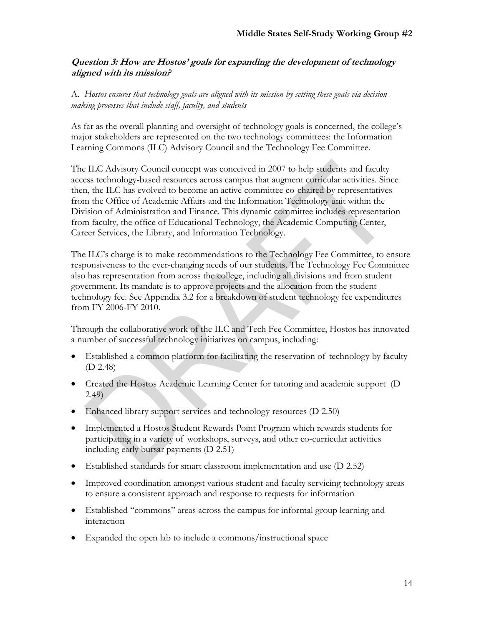# **Question 3: How are Hostos' goals for expanding the development of technology aligned with its mission?**

A. *Hostos ensures that technology goals are aligned with its mission by setting these goals via decisionmaking processes that include staff, faculty, and students*

As far as the overall planning and oversight of technology goals is concerned, the college's major stakeholders are represented on the two technology committees: the Information Learning Commons (ILC) Advisory Council and the Technology Fee Committee.

The ILC Advisory Council concept was conceived in 2007 to help students and faculty access technology-based resources across campus that augment curricular activities. Since then, the ILC has evolved to become an active committee co-chaired by representatives from the Office of Academic Affairs and the Information Technology unit within the Division of Administration and Finance. This dynamic committee includes representation from faculty, the office of Educational Technology, the Academic Computing Center, Career Services, the Library, and Information Technology.

The ILC's charge is to make recommendations to the Technology Fee Committee, to ensure responsiveness to the ever-changing needs of our students. The Technology Fee Committee also has representation from across the college, including all divisions and from student government. Its mandate is to approve projects and the allocation from the student technology fee. See Appendix 3.2 for a breakdown of student technology fee expenditures from FY 2006-FY 2010.

Through the collaborative work of the ILC and Tech Fee Committee, Hostos has innovated a number of successful technology initiatives on campus, including:

- Established a common platform for facilitating the reservation of technology by faculty (D 2.48)
- Created the Hostos Academic Learning Center for tutoring and academic support (D 2.49)
- Enhanced library support services and technology resources (D 2.50)
- Implemented a Hostos Student Rewards Point Program which rewards students for participating in a variety of workshops, surveys, and other co-curricular activities including early bursar payments (D 2.51)
- Established standards for smart classroom implementation and use (D 2.52)
- Improved coordination amongst various student and faculty servicing technology areas to ensure a consistent approach and response to requests for information
- Established "commons" areas across the campus for informal group learning and interaction
- Expanded the open lab to include a commons/instructional space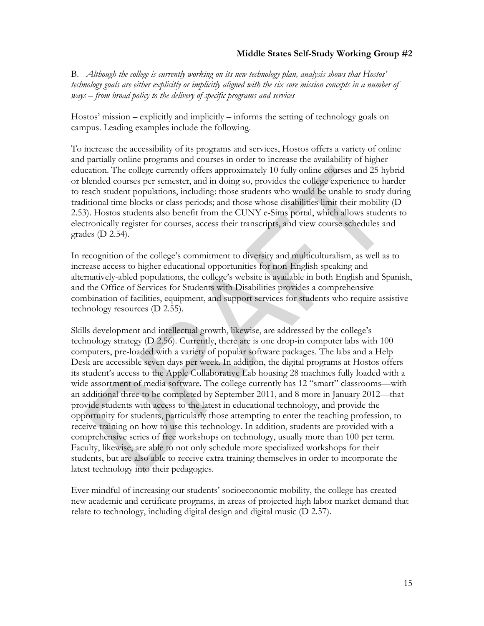B. *Although the college is currently working on its new technology plan, analysis shows that Hostos' technology goals are either explicitly or implicitly aligned with the six core mission concepts in a number of ways – from broad policy to the delivery of specific programs and services*

Hostos' mission – explicitly and implicitly – informs the setting of technology goals on campus. Leading examples include the following.

To increase the accessibility of its programs and services, Hostos offers a variety of online and partially online programs and courses in order to increase the availability of higher education. The college currently offers approximately 10 fully online courses and 25 hybrid or blended courses per semester, and in doing so, provides the college experience to harder to reach student populations, including: those students who would be unable to study during traditional time blocks or class periods; and those whose disabilities limit their mobility (D 2.53). Hostos students also benefit from the CUNY e-Sims portal, which allows students to electronically register for courses, access their transcripts, and view course schedules and grades (D 2.54).

In recognition of the college's commitment to diversity and multiculturalism, as well as to increase access to higher educational opportunities for non-English speaking and alternatively-abled populations, the college's website is available in both English and Spanish, and the Office of Services for Students with Disabilities provides a comprehensive combination of facilities, equipment, and support services for students who require assistive technology resources (D 2.55).

Skills development and intellectual growth, likewise, are addressed by the college's technology strategy (D 2.56). Currently, there are is one drop-in computer labs with 100 computers, pre-loaded with a variety of popular software packages. The labs and a Help Desk are accessible seven days per week. In addition, the digital programs at Hostos offers its student's access to the Apple Collaborative Lab housing 28 machines fully loaded with a wide assortment of media software. The college currently has 12 "smart" classrooms—with an additional three to be completed by September 2011, and 8 more in January 2012—that provide students with access to the latest in educational technology, and provide the opportunity for students, particularly those attempting to enter the teaching profession, to receive training on how to use this technology. In addition, students are provided with a comprehensive series of free workshops on technology, usually more than 100 per term. Faculty, likewise, are able to not only schedule more specialized workshops for their students, but are also able to receive extra training themselves in order to incorporate the latest technology into their pedagogies.

Ever mindful of increasing our students' socioeconomic mobility, the college has created new academic and certificate programs, in areas of projected high labor market demand that relate to technology, including digital design and digital music (D 2.57).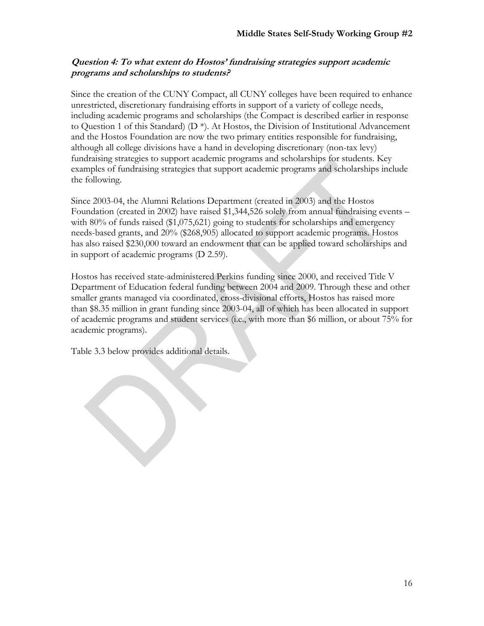# **Question 4: To what extent do Hostos' fundraising strategies support academic programs and scholarships to students?**

Since the creation of the CUNY Compact, all CUNY colleges have been required to enhance unrestricted, discretionary fundraising efforts in support of a variety of college needs, including academic programs and scholarships (the Compact is described earlier in response to Question 1 of this Standard) (D \*). At Hostos, the Division of Institutional Advancement and the Hostos Foundation are now the two primary entities responsible for fundraising, although all college divisions have a hand in developing discretionary (non-tax levy) fundraising strategies to support academic programs and scholarships for students. Key examples of fundraising strategies that support academic programs and scholarships include the following.

Since 2003-04, the Alumni Relations Department (created in 2003) and the Hostos Foundation (created in 2002) have raised \$1,344,526 solely from annual fundraising events – with  $80\%$  of funds raised  $(\$1,075,621)$  going to students for scholarships and emergency needs-based grants, and 20% (\$268,905) allocated to support academic programs. Hostos has also raised \$230,000 toward an endowment that can be applied toward scholarships and in support of academic programs (D 2.59).

Hostos has received state-administered Perkins funding since 2000, and received Title V Department of Education federal funding between 2004 and 2009. Through these and other smaller grants managed via coordinated, cross-divisional efforts, Hostos has raised more than \$8.35 million in grant funding since 2003-04, all of which has been allocated in support of academic programs and student services (i.e., with more than \$6 million, or about 75% for academic programs).

Table 3.3 below provides additional details.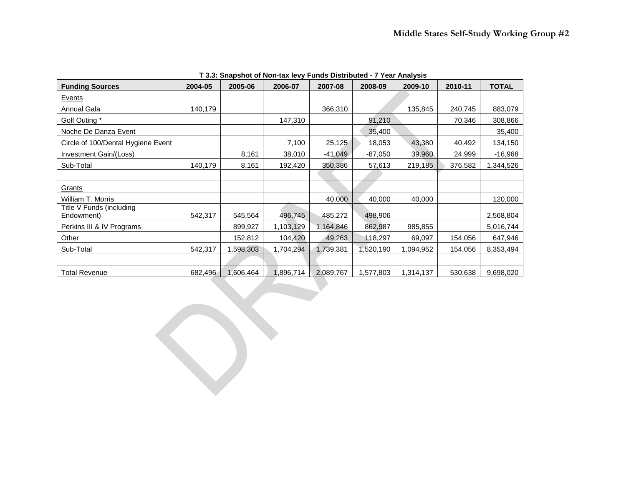| <b>Funding Sources</b>                 | 2004-05 | 2005-06   | 2006-07   | 2007-08   | 2008-09   | 2009-10   | 2010-11 | <b>TOTAL</b> |
|----------------------------------------|---------|-----------|-----------|-----------|-----------|-----------|---------|--------------|
| Events                                 |         |           |           |           |           |           |         |              |
| Annual Gala                            | 140,179 |           |           | 366,310   |           | 135,845   | 240,745 | 883,079      |
| Golf Outing *                          |         |           | 147,310   |           | 91,210    |           | 70,346  | 308,866      |
| Noche De Danza Event                   |         |           |           |           | 35,400    |           |         | 35,400       |
| Circle of 100/Dental Hygiene Event     |         |           | 7,100     | 25,125    | 18,053    | 43,380    | 40,492  | 134,150      |
| Investment Gain/(Loss)                 |         | 8,161     | 38,010    | $-41,049$ | $-87,050$ | 39,960    | 24,999  | $-16,968$    |
| Sub-Total                              | 140,179 | 8,161     | 192,420   | 350,386   | 57,613    | 219,185   | 376,582 | 1,344,526    |
|                                        |         |           |           |           |           |           |         |              |
| Grants                                 |         |           |           |           |           |           |         |              |
| William T. Morris                      |         |           |           | 40,000    | 40,000    | 40,000    |         | 120,000      |
| Title V Funds (including<br>Endowment) | 542,317 | 545,564   | 496,745   | 485,272   | 498,906   |           |         | 2,568,804    |
| Perkins III & IV Programs              |         | 899,927   | 1,103,129 | 1,164,846 | 862,987   | 985,855   |         | 5,016,744    |
| Other                                  |         | 152,812   | 104,420   | 49,263    | 118,297   | 69,097    | 154,056 | 647,946      |
| Sub-Total                              | 542,317 | 1,598,303 | 1,704,294 | 1,739,381 | 1,520,190 | 1,094,952 | 154,056 | 8,353,494    |
|                                        |         |           |           |           |           |           |         |              |
| <b>Total Revenue</b>                   | 682,496 | 1,606,464 | 1,896,714 | 2,089,767 | 1,577,803 | 1,314,137 | 530,638 | 9,698,020    |

**T 3.3: Snapshot of Non-tax levy Funds Distributed - 7 Year Analysis**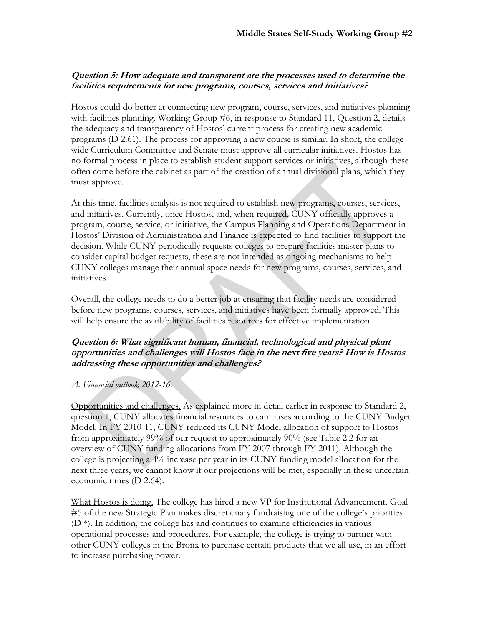# **Question 5: How adequate and transparent are the processes used to determine the facilities requirements for new programs, courses, services and initiatives?**

Hostos could do better at connecting new program, course, services, and initiatives planning with facilities planning. Working Group #6, in response to Standard 11, Question 2, details the adequacy and transparency of Hostos' current process for creating new academic programs (D 2.61). The process for approving a new course is similar. In short, the collegewide Curriculum Committee and Senate must approve all curricular initiatives. Hostos has no formal process in place to establish student support services or initiatives, although these often come before the cabinet as part of the creation of annual divisional plans, which they must approve.

At this time, facilities analysis is not required to establish new programs, courses, services, and initiatives. Currently, once Hostos, and, when required, CUNY officially approves a program, course, service, or initiative, the Campus Planning and Operations Department in Hostos' Division of Administration and Finance is expected to find facilities to support the decision. While CUNY periodically requests colleges to prepare facilities master plans to consider capital budget requests, these are not intended as ongoing mechanisms to help CUNY colleges manage their annual space needs for new programs, courses, services, and initiatives.

Overall, the college needs to do a better job at ensuring that facility needs are considered before new programs, courses, services, and initiatives have been formally approved. This will help ensure the availability of facilities resources for effective implementation.

# **Question 6: What significant human, financial, technological and physical plant opportunities and challenges will Hostos face in the next five years? How is Hostos addressing these opportunities and challenges?**

# *A. Financial outlook 2012-16.*

Opportunities and challenges. As explained more in detail earlier in response to Standard 2, question 1, CUNY allocates financial resources to campuses according to the CUNY Budget Model. In FY 2010-11, CUNY reduced its CUNY Model allocation of support to Hostos from approximately 99% of our request to approximately 90% (see Table 2.2 for an overview of CUNY funding allocations from FY 2007 through FY 2011). Although the college is projecting a 4% increase per year in its CUNY funding model allocation for the next three years, we cannot know if our projections will be met, especially in these uncertain economic times (D 2.64).

What Hostos is doing. The college has hired a new VP for Institutional Advancement. Goal #5 of the new Strategic Plan makes discretionary fundraising one of the college's priorities  $(D^*)$ . In addition, the college has and continues to examine efficiencies in various operational processes and procedures. For example, the college is trying to partner with other CUNY colleges in the Bronx to purchase certain products that we all use, in an effort to increase purchasing power.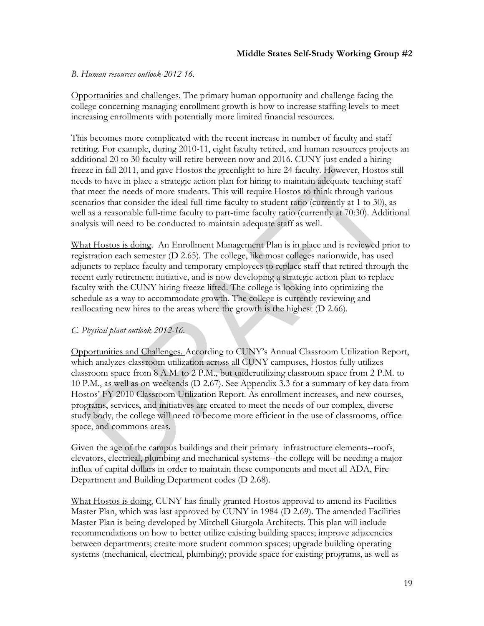#### *B. Human resources outlook 2012-16.*

Opportunities and challenges. The primary human opportunity and challenge facing the college concerning managing enrollment growth is how to increase staffing levels to meet increasing enrollments with potentially more limited financial resources.

This becomes more complicated with the recent increase in number of faculty and staff retiring. For example, during 2010-11, eight faculty retired, and human resources projects an additional 20 to 30 faculty will retire between now and 2016. CUNY just ended a hiring freeze in fall 2011, and gave Hostos the greenlight to hire 24 faculty. However, Hostos still needs to have in place a strategic action plan for hiring to maintain adequate teaching staff that meet the needs of more students. This will require Hostos to think through various scenarios that consider the ideal full-time faculty to student ratio (currently at 1 to 30), as well as a reasonable full-time faculty to part-time faculty ratio (currently at 70:30). Additional analysis will need to be conducted to maintain adequate staff as well.

What Hostos is doing. An Enrollment Management Plan is in place and is reviewed prior to registration each semester (D 2.65). The college, like most colleges nationwide, has used adjuncts to replace faculty and temporary employees to replace staff that retired through the recent early retirement initiative, and is now developing a strategic action plan to replace faculty with the CUNY hiring freeze lifted. The college is looking into optimizing the schedule as a way to accommodate growth. The college is currently reviewing and reallocating new hires to the areas where the growth is the highest (D 2.66).

# *C. Physical plant outlook 2012-16.*

Opportunities and Challenges. According to CUNY's Annual Classroom Utilization Report, which analyzes classroom utilization across all CUNY campuses, Hostos fully utilizes classroom space from 8 A.M. to 2 P.M., but underutilizing classroom space from 2 P.M. to 10 P.M., as well as on weekends (D 2.67). See Appendix 3.3 for a summary of key data from Hostos' FY 2010 Classroom Utilization Report. As enrollment increases, and new courses, programs, services, and initiatives are created to meet the needs of our complex, diverse study body, the college will need to become more efficient in the use of classrooms, office space, and commons areas.

Given the age of the campus buildings and their primary infrastructure elements--roofs, elevators, electrical, plumbing and mechanical systems--the college will be needing a major influx of capital dollars in order to maintain these components and meet all ADA, Fire Department and Building Department codes (D 2.68).

What Hostos is doing. CUNY has finally granted Hostos approval to amend its Facilities Master Plan, which was last approved by CUNY in 1984 (D 2.69). The amended Facilities Master Plan is being developed by Mitchell Giurgola Architects. This plan will include recommendations on how to better utilize existing building spaces; improve adjacencies between departments; create more student common spaces; upgrade building operating systems (mechanical, electrical, plumbing); provide space for existing programs, as well as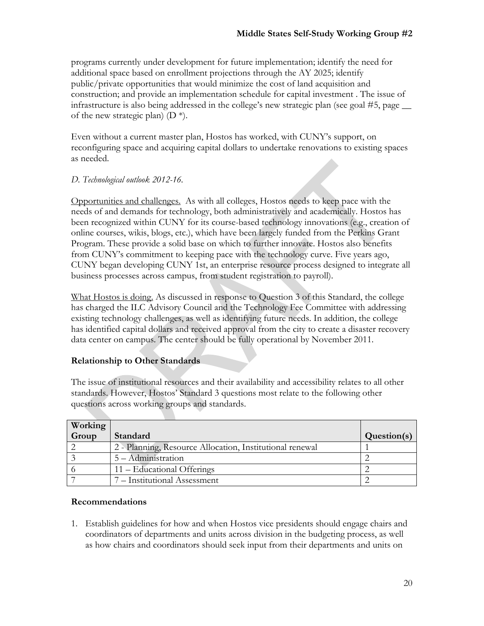programs currently under development for future implementation; identify the need for additional space based on enrollment projections through the AY 2025; identify public/private opportunities that would minimize the cost of land acquisition and construction; and provide an implementation schedule for capital investment . The issue of infrastructure is also being addressed in the college's new strategic plan (see goal #5, page \_\_ of the new strategic plan)  $(D^*)$ .

Even without a current master plan, Hostos has worked, with CUNY's support, on reconfiguring space and acquiring capital dollars to undertake renovations to existing spaces as needed.

# *D. Technological outlook 2012-16.*

Opportunities and challenges. As with all colleges, Hostos needs to keep pace with the needs of and demands for technology, both administratively and academically. Hostos has been recognized within CUNY for its course-based technology innovations (e.g., creation of online courses, wikis, blogs, etc.), which have been largely funded from the Perkins Grant Program. These provide a solid base on which to further innovate. Hostos also benefits from CUNY's commitment to keeping pace with the technology curve. Five years ago, CUNY began developing CUNY 1st, an enterprise resource process designed to integrate all business processes across campus, from student registration to payroll).

What Hostos is doing. As discussed in response to Question 3 of this Standard, the college has charged the ILC Advisory Council and the Technology Fee Committee with addressing existing technology challenges, as well as identifying future needs. In addition, the college has identified capital dollars and received approval from the city to create a disaster recovery data center on campus. The center should be fully operational by November 2011.

# **Relationship to Other Standards**

The issue of institutional resources and their availability and accessibility relates to all other standards. However, Hostos' Standard 3 questions most relate to the following other questions across working groups and standards.

| Working |                                                          |             |
|---------|----------------------------------------------------------|-------------|
| Group   | Standard                                                 | Question(s) |
|         | 2 - Planning, Resource Allocation, Institutional renewal |             |
|         | 5 – Administration                                       |             |
|         | 11 – Educational Offerings                               |             |
|         | 7 – Institutional Assessment                             |             |

# **Recommendations**

1. Establish guidelines for how and when Hostos vice presidents should engage chairs and coordinators of departments and units across division in the budgeting process, as well as how chairs and coordinators should seek input from their departments and units on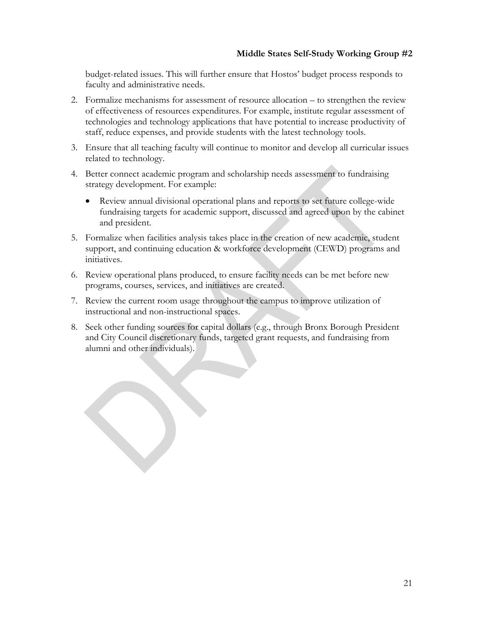budget-related issues. This will further ensure that Hostos' budget process responds to faculty and administrative needs.

- 2. Formalize mechanisms for assessment of resource allocation to strengthen the review of effectiveness of resources expenditures. For example, institute regular assessment of technologies and technology applications that have potential to increase productivity of staff, reduce expenses, and provide students with the latest technology tools.
- 3. Ensure that all teaching faculty will continue to monitor and develop all curricular issues related to technology.
- 4. Better connect academic program and scholarship needs assessment to fundraising strategy development. For example:
	- Review annual divisional operational plans and reports to set future college-wide fundraising targets for academic support, discussed and agreed upon by the cabinet and president.
- 5. Formalize when facilities analysis takes place in the creation of new academic, student support, and continuing education & workforce development (CEWD) programs and initiatives.
- 6. Review operational plans produced, to ensure facility needs can be met before new programs, courses, services, and initiatives are created.
- 7. Review the current room usage throughout the campus to improve utilization of instructional and non-instructional spaces.
- 8. Seek other funding sources for capital dollars (e.g., through Bronx Borough President and City Council discretionary funds, targeted grant requests, and fundraising from alumni and other individuals).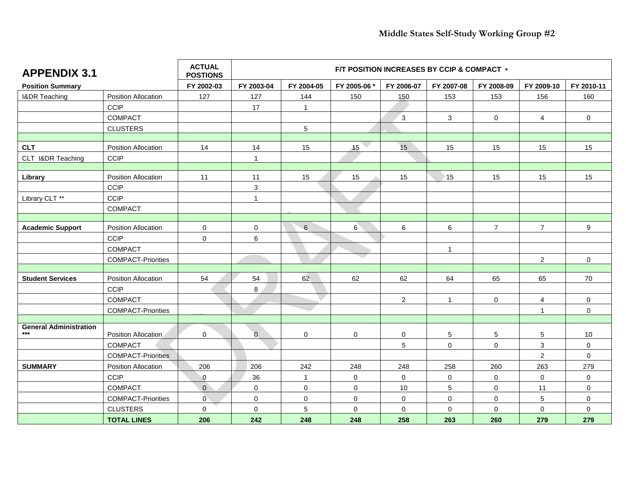| <b>APPENDIX 3.1</b>           |                            | <b>ACTUAL</b><br><b>POSTIONS</b> |                     |                | F/T POSITION INCREASES BY CCIP & COMPACT . |                |                |                |                |              |
|-------------------------------|----------------------------|----------------------------------|---------------------|----------------|--------------------------------------------|----------------|----------------|----------------|----------------|--------------|
| <b>Position Summary</b>       |                            | FY 2002-03                       | FY 2003-04          | FY 2004-05     | FY 2005-06 *                               | FY 2006-07     | FY 2007-08     | FY 2008-09     | FY 2009-10     | FY 2010-11   |
| <b>I&amp;DR Teaching</b>      | <b>Position Allocation</b> | 127                              | 127                 | 144            | 150                                        | 150            | 153            | 153            | 156            | 160          |
|                               | <b>CCIP</b>                |                                  | 17                  | $\mathbf{1}$   |                                            |                |                |                |                |              |
|                               | <b>COMPACT</b>             |                                  |                     |                |                                            | 3              | 3              | $\mathsf{O}$   | 4              | 0            |
|                               | <b>CLUSTERS</b>            |                                  |                     | $\sqrt{5}$     |                                            |                |                |                |                |              |
|                               |                            |                                  |                     |                |                                            |                |                |                |                |              |
| <b>CLT</b>                    | <b>Position Allocation</b> | 14                               | 14                  | 15             | 15                                         | 15             | 15             | 15             | 15             | 15           |
| CLT I&DR Teaching             | <b>CCIP</b>                |                                  | 1                   |                |                                            |                |                |                |                |              |
|                               |                            |                                  |                     |                |                                            |                |                |                |                |              |
| Library                       | <b>Position Allocation</b> | 11                               | 11                  | 15             | 15                                         | 15             | 15             | 15             | 15             | 15           |
|                               | <b>CCIP</b>                |                                  | 3                   |                |                                            |                |                |                |                |              |
| Library CLT **                | <b>CCIP</b>                |                                  | $\mathbf{1}$        |                |                                            |                |                |                |                |              |
|                               | <b>COMPACT</b>             |                                  |                     |                |                                            |                |                |                |                |              |
|                               |                            |                                  |                     |                |                                            |                |                |                |                |              |
| <b>Academic Support</b>       | <b>Position Allocation</b> | $\pmb{0}$                        | $\mathsf{O}\xspace$ | 6              | 6 <sup>2</sup>                             | 6              | 6              | $\overline{7}$ | $\overline{7}$ | 9            |
|                               | <b>CCIP</b>                | $\Omega$                         | 6                   |                |                                            |                |                |                |                |              |
|                               | <b>COMPACT</b>             |                                  |                     |                |                                            |                | $\overline{1}$ |                |                |              |
|                               | <b>COMPACT-Priorities</b>  |                                  |                     |                |                                            |                |                |                | $\overline{2}$ | 0            |
| <b>Student Services</b>       |                            |                                  |                     |                |                                            |                |                |                |                |              |
|                               | <b>Position Allocation</b> | 54                               | 54                  | 62             | 62                                         | 62             | 64             | 65             | 65             | 70           |
|                               | <b>CCIP</b>                |                                  | 8                   |                |                                            |                |                |                |                |              |
|                               | <b>COMPACT</b>             |                                  |                     |                |                                            | $\overline{2}$ | $\overline{1}$ | 0              | 4              | 0            |
|                               | <b>COMPACT-Priorities</b>  |                                  |                     |                |                                            |                |                |                | $\mathbf{1}$   | $\mathbf{0}$ |
| <b>General Administration</b> |                            |                                  |                     |                |                                            |                |                |                |                |              |
| $***$                         | Position Allocation        | $\mathbf 0$                      | $\overline{0}$      | 0              | $\mathbf 0$                                | 0              | $\sqrt{5}$     | 5              | 5              | 10           |
|                               | <b>COMPACT</b>             |                                  |                     |                |                                            | 5              | $\mathbf 0$    | $\mathbf 0$    | 3              | 0            |
|                               | <b>COMPACT-Priorities</b>  |                                  |                     |                |                                            |                |                |                | $\overline{2}$ | 0            |
| <b>SUMMARY</b>                | <b>Position Allocation</b> | 206                              | 206                 | 242            | 248                                        | 248            | 258            | 260            | 263            | 279          |
|                               | <b>CCIP</b>                | $\overline{0}$                   | 36                  | $\mathbf{1}$   | $\mathbf 0$                                | $\mathbf 0$    | 0              | 0              | 0              | 0            |
|                               | <b>COMPACT</b>             | $\mathbf{0}$                     | $\mathbf 0$         | $\mathbf 0$    | $\mathbf 0$                                | 10             | 5              | 0              | 11             | $\mathbf 0$  |
|                               | <b>COMPACT-Priorities</b>  | $\mathbf{0}$                     | 0                   | 0              | 0                                          | $\mathbf 0$    | $\mathbf 0$    | 0              | $\sqrt{5}$     | 0            |
|                               | <b>CLUSTERS</b>            | $\mathbf 0$                      | $\mathbf 0$         | $\overline{5}$ | 0                                          | $\mathbf 0$    | $\mathbf 0$    | $\mathbf 0$    | $\pmb{0}$      | 0            |
|                               | <b>TOTAL LINES</b>         | 206                              | 242                 | 248            | 248                                        | 258            | 263            | 260            | 279            | 279          |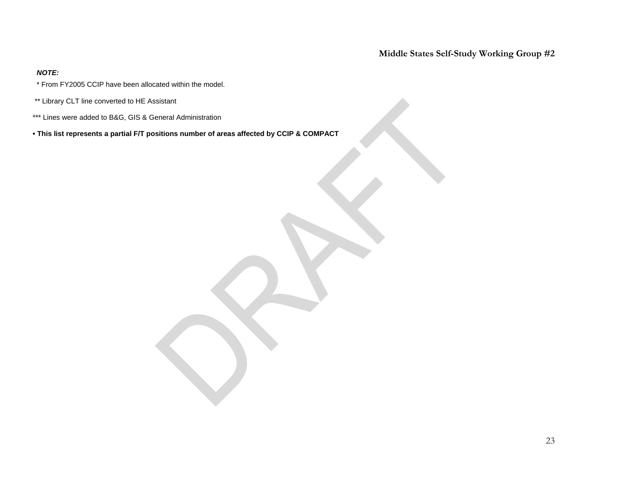#### *NOTE:*

- \* From FY2005 CCIP have been allocated within the model.
- \*\* Library CLT line converted to HE Assistant
- \*\*\* Lines were added to B&G, GIS & General Administration
- **This list represents a partial F/T positions number of areas affected by CCIP & COMPACT**